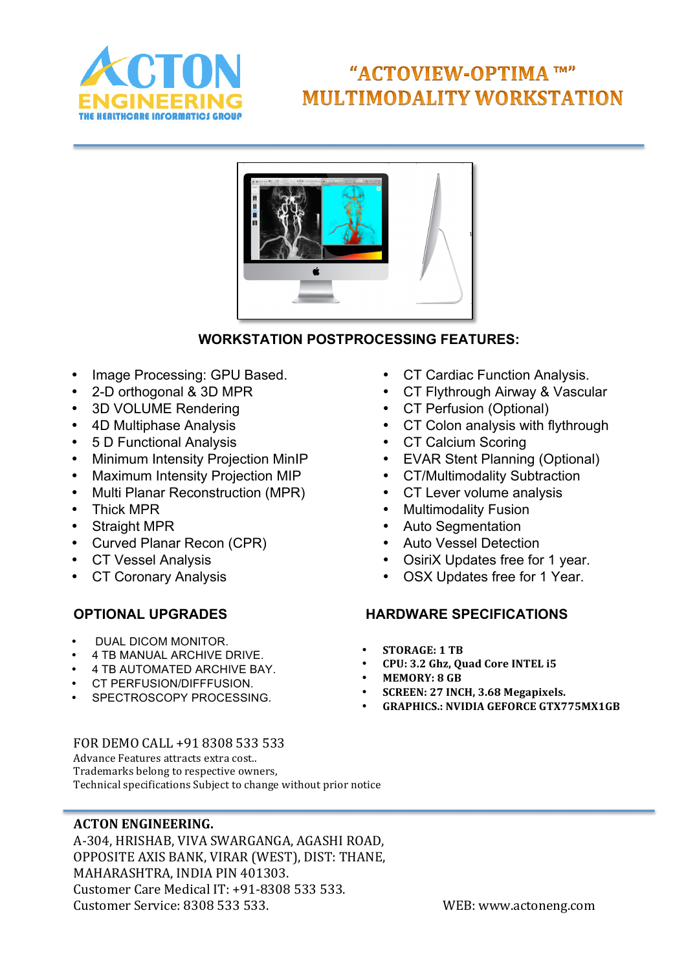

# "ACTOVIEW-OPTIMA TM" **MULTIMODALITY WORKSTATION**



## **WORKSTATION POSTPROCESSING FEATURES:**

- Image Processing: GPU Based.
- 2-D orthogonal & 3D MPR
- 3D VOLUME Rendering
- 4D Multiphase Analysis
- 5 D Functional Analysis
- Minimum Intensity Projection MinIP
- Maximum Intensity Projection MIP
- Multi Planar Reconstruction (MPR)
- Thick MPR
- Straight MPR
- Curved Planar Recon (CPR)
- CT Vessel Analysis
- **CT Coronary Analysis**

- DUAL DICOM MONITOR.
- 4 TB MANUAL ARCHIVE DRIVE.
- 4 TB AUTOMATED ARCHIVE BAY.
- CT PERFUSION/DIFFFUSION.
- SPECTROSCOPY PROCESSING.
- CT Cardiac Function Analysis.
- CT Flythrough Airway & Vascular
- CT Perfusion (Optional)
- CT Colon analysis with flythrough
- CT Calcium Scoring
- EVAR Stent Planning (Optional)
- CT/Multimodality Subtraction
- CT Lever volume analysis
- Multimodality Fusion
- Auto Segmentation
- Auto Vessel Detection
- OsiriX Updates free for 1 year.
- OSX Updates free for 1 Year.

## **OPTIONAL UPGRADES HARDWARE SPECIFICATIONS**

- **STORAGE: 1 TB**
- CPU: 3.2 Ghz, Quad Core INTEL i5<br>• MEMORY: 8 GB
- **MEMORY: 8 GB**
- **SCREEN: 27 INCH, 3.68 Megapixels.**
- **GRAPHICS.: NVIDIA GEFORCE GTX775MX1GB**

FOR DEMO CALL +91 8308 533 533 Advance Features attracts extra cost.. Trademarks belong to respective owners, Technical specifications Subject to change without prior notice

## **ACTON ENGINEERING.**

A-304, HRISHAB, VIVA SWARGANGA, AGASHI ROAD, OPPOSITE AXIS BANK, VIRAR (WEST), DIST: THANE, MAHARASHTRA, INDIA PIN 401303. Customer Care Medical IT: +91-8308 533 533. Customer Service: 8308 533 533. WEB: www.actoneng.com